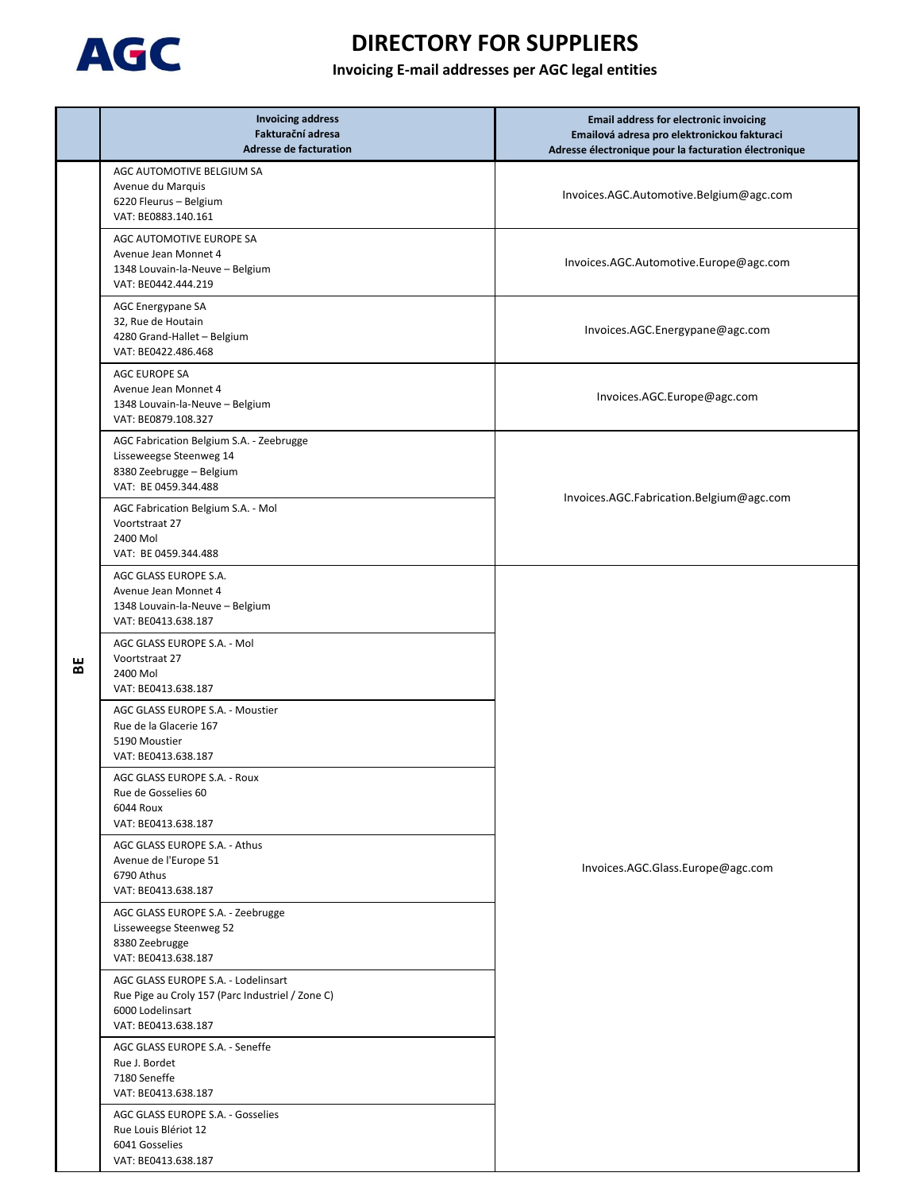

|   | <b>Invoicing address</b><br>Fakturační adresa<br><b>Adresse de facturation</b>                                                     | <b>Email address for electronic invoicing</b><br>Emailová adresa pro elektronickou fakturaci<br>Adresse électronique pour la facturation électronique |
|---|------------------------------------------------------------------------------------------------------------------------------------|-------------------------------------------------------------------------------------------------------------------------------------------------------|
| 벎 | AGC AUTOMOTIVE BELGIUM SA<br>Avenue du Marquis<br>6220 Fleurus - Belgium<br>VAT: BE0883.140.161                                    | Invoices.AGC.Automotive.Belgium@agc.com                                                                                                               |
|   | AGC AUTOMOTIVE EUROPE SA<br>Avenue Jean Monnet 4<br>1348 Louvain-la-Neuve - Belgium<br>VAT: BE0442.444.219                         | Invoices.AGC.Automotive.Europe@agc.com                                                                                                                |
|   | AGC Energypane SA<br>32, Rue de Houtain<br>4280 Grand-Hallet - Belgium<br>VAT: BE0422.486.468                                      | Invoices.AGC.Energypane@agc.com                                                                                                                       |
|   | AGC EUROPE SA<br>Avenue Jean Monnet 4<br>1348 Louvain-la-Neuve - Belgium<br>VAT: BE0879.108.327                                    | Invoices.AGC.Europe@agc.com                                                                                                                           |
|   | AGC Fabrication Belgium S.A. - Zeebrugge<br>Lisseweegse Steenweg 14<br>8380 Zeebrugge - Belgium<br>VAT: BE 0459.344.488            | Invoices.AGC.Fabrication.Belgium@agc.com                                                                                                              |
|   | AGC Fabrication Belgium S.A. - Mol<br>Voortstraat 27<br>2400 Mol<br>VAT: BE 0459.344.488                                           |                                                                                                                                                       |
|   | AGC GLASS EUROPE S.A.<br>Avenue Jean Monnet 4<br>1348 Louvain-la-Neuve - Belgium<br>VAT: BE0413.638.187                            |                                                                                                                                                       |
|   | AGC GLASS EUROPE S.A. - Mol<br>Voortstraat 27<br>2400 Mol<br>VAT: BE0413.638.187                                                   | Invoices.AGC.Glass.Europe@agc.com                                                                                                                     |
|   | AGC GLASS EUROPE S.A. - Moustier<br>Rue de la Glacerie 167<br>5190 Moustier<br>VAT: BE0413.638.187                                 |                                                                                                                                                       |
|   | AGC GLASS EUROPE S.A. - Roux<br>Rue de Gosselies 60<br>6044 Roux<br>VAT: BE0413.638.187                                            |                                                                                                                                                       |
|   | AGC GLASS EUROPE S.A. - Athus<br>Avenue de l'Europe 51<br>6790 Athus<br>VAT: BE0413.638.187                                        |                                                                                                                                                       |
|   | AGC GLASS EUROPE S.A. - Zeebrugge<br>Lisseweegse Steenweg 52<br>8380 Zeebrugge<br>VAT: BE0413.638.187                              |                                                                                                                                                       |
|   | AGC GLASS EUROPE S.A. - Lodelinsart<br>Rue Pige au Croly 157 (Parc Industriel / Zone C)<br>6000 Lodelinsart<br>VAT: BE0413.638.187 |                                                                                                                                                       |
|   | AGC GLASS EUROPE S.A. - Seneffe<br>Rue J. Bordet<br>7180 Seneffe<br>VAT: BE0413.638.187                                            |                                                                                                                                                       |
|   | AGC GLASS EUROPE S.A. - Gosselies<br>Rue Louis Blériot 12<br>6041 Gosselies<br>VAT: BE0413.638.187                                 |                                                                                                                                                       |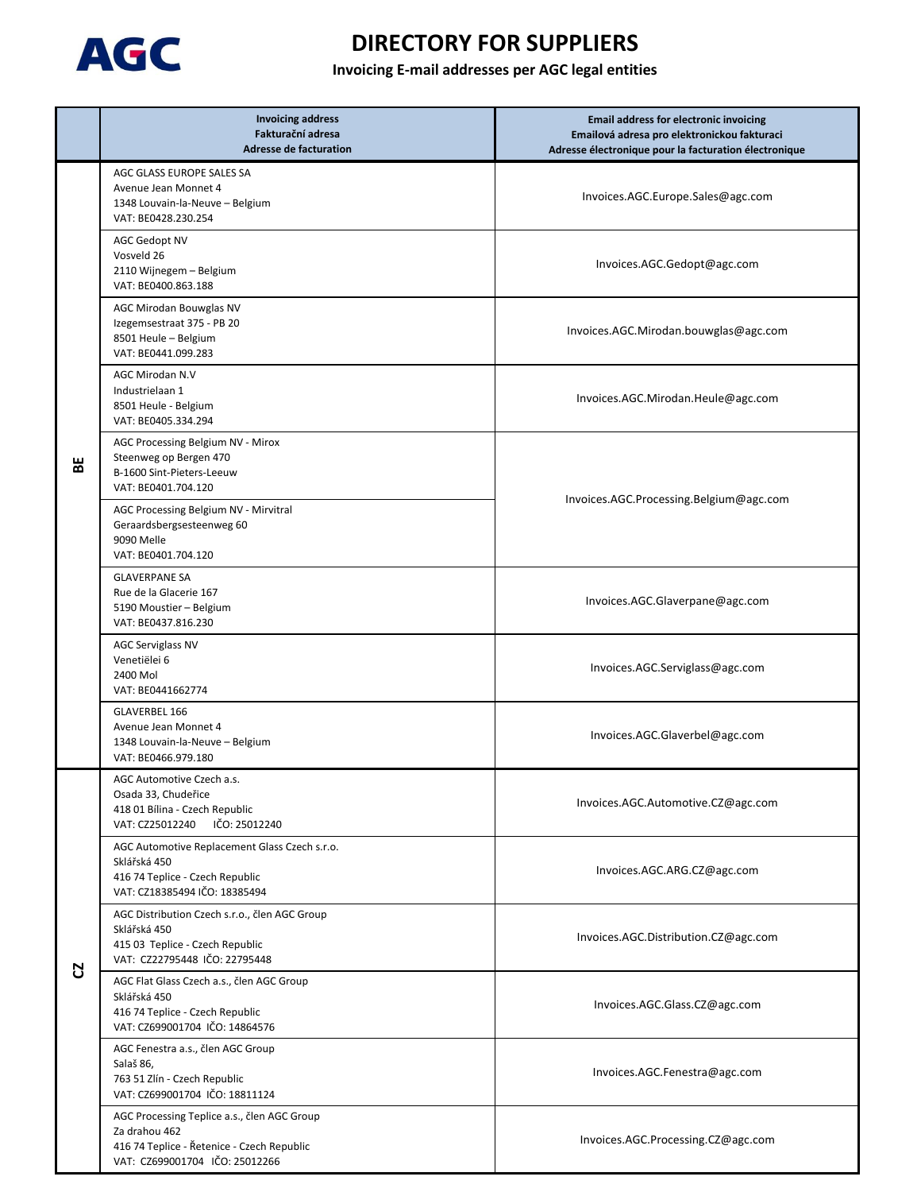

|   | <b>Invoicing address</b><br>Fakturační adresa<br><b>Adresse de facturation</b>                                                               | <b>Email address for electronic invoicing</b><br>Emailová adresa pro elektronickou fakturaci<br>Adresse électronique pour la facturation électronique |
|---|----------------------------------------------------------------------------------------------------------------------------------------------|-------------------------------------------------------------------------------------------------------------------------------------------------------|
| 벎 | AGC GLASS EUROPE SALES SA<br>Avenue Jean Monnet 4<br>1348 Louvain-la-Neuve - Belgium<br>VAT: BE0428.230.254                                  | Invoices.AGC.Europe.Sales@agc.com                                                                                                                     |
|   | <b>AGC Gedopt NV</b><br>Vosveld 26<br>2110 Wijnegem - Belgium<br>VAT: BE0400.863.188                                                         | Invoices.AGC.Gedopt@agc.com                                                                                                                           |
|   | AGC Mirodan Bouwglas NV<br>Izegemsestraat 375 - PB 20<br>8501 Heule - Belgium<br>VAT: BE0441.099.283                                         | Invoices.AGC.Mirodan.bouwglas@agc.com                                                                                                                 |
|   | AGC Mirodan N.V<br>Industrielaan 1<br>8501 Heule - Belgium<br>VAT: BE0405.334.294                                                            | Invoices.AGC.Mirodan.Heule@agc.com                                                                                                                    |
|   | AGC Processing Belgium NV - Mirox<br>Steenweg op Bergen 470<br>B-1600 Sint-Pieters-Leeuw<br>VAT: BE0401.704.120                              | Invoices.AGC.Processing.Belgium@agc.com                                                                                                               |
|   | AGC Processing Belgium NV - Mirvitral<br>Geraardsbergsesteenweg 60<br>9090 Melle<br>VAT: BE0401.704.120                                      |                                                                                                                                                       |
|   | <b>GLAVERPANE SA</b><br>Rue de la Glacerie 167<br>5190 Moustier - Belgium<br>VAT: BE0437.816.230                                             | Invoices.AGC.Glaverpane@agc.com                                                                                                                       |
|   | <b>AGC Serviglass NV</b><br>Venetiëlei 6<br>2400 Mol<br>VAT: BE0441662774                                                                    | Invoices.AGC.Serviglass@agc.com                                                                                                                       |
|   | <b>GLAVERBEL 166</b><br>Avenue Jean Monnet 4<br>1348 Louvain-la-Neuve - Belgium<br>VAT: BE0466.979.180                                       | Invoices.AGC.Glaverbel@agc.com                                                                                                                        |
| Ŋ | AGC Automotive Czech a.s.<br>Osada 33, Chudeřice<br>418 01 Bílina - Czech Republic<br>IČO: 25012240<br>VAT: CZ25012240                       | Invoices.AGC.Automotive.CZ@agc.com                                                                                                                    |
|   | AGC Automotive Replacement Glass Czech s.r.o.<br>Sklářská 450<br>416 74 Teplice - Czech Republic<br>VAT: CZ18385494 IČO: 18385494            | Invoices.AGC.ARG.CZ@agc.com                                                                                                                           |
|   | AGC Distribution Czech s.r.o., člen AGC Group<br>Sklářská 450<br>415 03 Teplice - Czech Republic<br>VAT: CZ22795448 IČO: 22795448            | Invoices.AGC.Distribution.CZ@agc.com                                                                                                                  |
|   | AGC Flat Glass Czech a.s., člen AGC Group<br>Sklářská 450<br>416 74 Teplice - Czech Republic<br>VAT: CZ699001704 IČO: 14864576               | Invoices.AGC.Glass.CZ@agc.com                                                                                                                         |
|   | AGC Fenestra a.s., člen AGC Group<br>Salaš 86,<br>763 51 Zlín - Czech Republic<br>VAT: CZ699001704 IČO: 18811124                             | Invoices.AGC.Fenestra@agc.com                                                                                                                         |
|   | AGC Processing Teplice a.s., člen AGC Group<br>Za drahou 462<br>416 74 Teplice - Řetenice - Czech Republic<br>VAT: CZ699001704 IČO: 25012266 | Invoices.AGC.Processing.CZ@agc.com                                                                                                                    |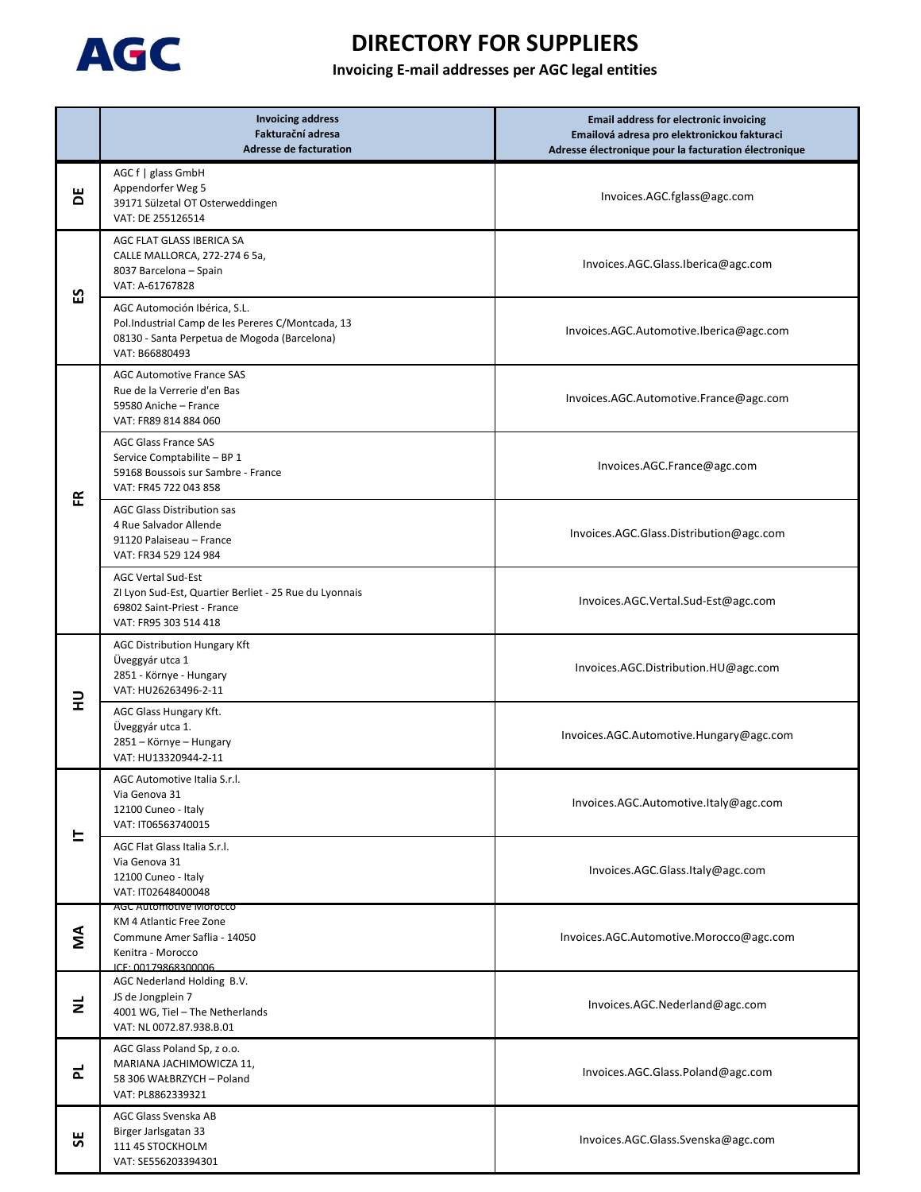

|                | <b>Invoicing address</b><br>Fakturační adresa<br><b>Adresse de facturation</b>                                                                      | <b>Email address for electronic invoicing</b><br>Emailová adresa pro elektronickou fakturaci<br>Adresse électronique pour la facturation électronique |
|----------------|-----------------------------------------------------------------------------------------------------------------------------------------------------|-------------------------------------------------------------------------------------------------------------------------------------------------------|
| Ъ              | AGC f   glass GmbH<br>Appendorfer Weg 5<br>39171 Sülzetal OT Osterweddingen<br>VAT: DE 255126514                                                    | Invoices.AGC.fglass@agc.com                                                                                                                           |
| 53             | AGC FLAT GLASS IBERICA SA<br>CALLE MALLORCA, 272-274 6 5a,<br>8037 Barcelona - Spain<br>VAT: A-61767828                                             | Invoices.AGC.Glass.Iberica@agc.com                                                                                                                    |
|                | AGC Automoción Ibérica, S.L.<br>Pol.Industrial Camp de les Pereres C/Montcada, 13<br>08130 - Santa Perpetua de Mogoda (Barcelona)<br>VAT: B66880493 | Invoices.AGC.Automotive.Iberica@agc.com                                                                                                               |
|                | <b>AGC Automotive France SAS</b><br>Rue de la Verrerie d'en Bas<br>59580 Aniche - France<br>VAT: FR89 814 884 060                                   | Invoices.AGC.Automotive.France@agc.com                                                                                                                |
| 뚠              | <b>AGC Glass France SAS</b><br>Service Comptabilite - BP 1<br>59168 Boussois sur Sambre - France<br>VAT: FR45 722 043 858                           | Invoices.AGC.France@agc.com                                                                                                                           |
|                | <b>AGC Glass Distribution sas</b><br>4 Rue Salvador Allende<br>91120 Palaiseau - France<br>VAT: FR34 529 124 984                                    | Invoices.AGC.Glass.Distribution@agc.com                                                                                                               |
|                | <b>AGC Vertal Sud-Est</b><br>ZI Lyon Sud-Est, Quartier Berliet - 25 Rue du Lyonnais<br>69802 Saint-Priest - France<br>VAT: FR95 303 514 418         | Invoices.AGC.Vertal.Sud-Est@agc.com                                                                                                                   |
| 긒              | <b>AGC Distribution Hungary Kft</b><br>Üveggyár utca 1<br>2851 - Környe - Hungary<br>VAT: HU26263496-2-11                                           | Invoices.AGC.Distribution.HU@agc.com                                                                                                                  |
|                | AGC Glass Hungary Kft.<br>Üveggyár utca 1.<br>2851 - Környe - Hungary<br>VAT: HU13320944-2-11                                                       | Invoices.AGC.Automotive.Hungary@agc.com                                                                                                               |
| ᄂ              | AGC Automotive Italia S.r.l.<br>Via Genova 31<br>12100 Cuneo - Italy<br>VAT: IT06563740015                                                          | Invoices.AGC.Automotive.Italy@agc.com                                                                                                                 |
|                | AGC Flat Glass Italia S.r.l.<br>Via Genova 31<br>12100 Cuneo - Italy<br>VAT: IT02648400048                                                          | Invoices.AGC.Glass.Italy@agc.com                                                                                                                      |
| ΝN             | AGC Automotive Morocco<br>KM 4 Atlantic Free Zone<br>Commune Amer Saflia - 14050<br>Kenitra - Morocco<br>ICE: 00179868300006                        | Invoices.AGC.Automotive.Morocco@agc.com                                                                                                               |
| $\overline{z}$ | AGC Nederland Holding B.V.<br>JS de Jongplein 7<br>4001 WG, Tiel - The Netherlands<br>VAT: NL 0072.87.938.B.01                                      | Invoices.AGC.Nederland@agc.com                                                                                                                        |
| ᇍ              | AGC Glass Poland Sp, z o.o.<br>MARIANA JACHIMOWICZA 11,<br>58 306 WAŁBRZYCH - Poland<br>VAT: PL8862339321                                           | Invoices.AGC.Glass.Poland@agc.com                                                                                                                     |
| 56             | AGC Glass Svenska AB<br>Birger Jarlsgatan 33<br>111 45 STOCKHOLM<br>VAT: SE556203394301                                                             | Invoices.AGC.Glass.Svenska@agc.com                                                                                                                    |